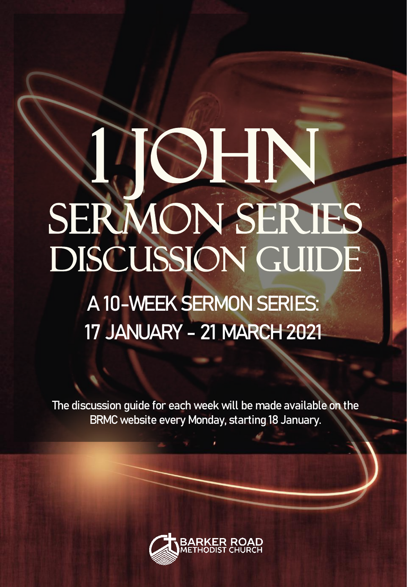# 2 John SERMON SERIES DISCUSSION GUIDE

### **A 10-WEEK SERMON SERIES: 17 JANUARY - 21 MARCH 2021**

The discussion guide for each week will be made available on the BRMC website every Monday, starting 18 January.